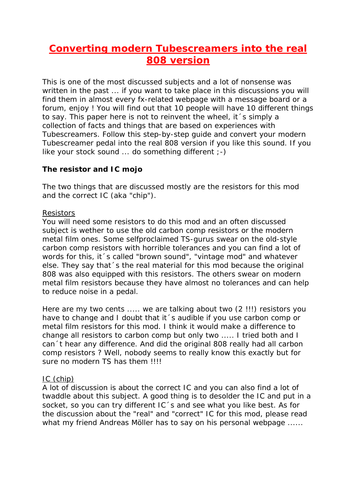# **Converting modern Tubescreamers into the real 808 version**

This is one of the most discussed subjects and a lot of nonsense was written in the past ... if you want to take place in this discussions you will find them in almost every fx-related webpage with a message board or a forum, enjoy ! You will find out that 10 people will have 10 different things to say. This paper here is not to reinvent the wheel, it´s simply a collection of facts and things that are based on experiences with Tubescreamers. Follow this step-by-step guide and convert your modern Tubescreamer pedal into the real 808 version if you like this sound. If you like your stock sound ... do something different ;-)

### **The resistor and IC mojo**

The two things that are discussed mostly are the resistors for this mod and the correct IC (aka "chip").

### Resistors

You will need some resistors to do this mod and an often discussed subject is wether to use the old carbon comp resistors or the modern metal film ones. Some selfproclaimed TS-gurus swear on the old-style carbon comp resistors with horrible tolerances and you can find a lot of words for this, it´s called "brown sound", "vintage mod" and whatever else. They say that´s the real material for this mod because the original 808 was also equipped with this resistors. The others swear on modern metal film resistors because they have almost no tolerances and can help to reduce noise in a pedal.

Here are my two cents ..... we are talking about two (2 !!!) resistors you have to change and I doubt that it´s audible if you use carbon comp or metal film resistors for this mod. I think it would make a difference to change all resistors to carbon comp but only two ..... I tried both and I can´t hear any difference. And did the original 808 really had all carbon comp resistors ? Well, nobody seems to really know this exactly but for sure no modern TS has them !!!!

### IC (chip)

A lot of discussion is about the correct IC and you can also find a lot of twaddle about this subject. A good thing is to desolder the IC and put in a socket, so you can try different IC's and see what you like best. As for the discussion about the "real" and "correct" IC for this mod, please read what my friend Andreas Möller has to say on his personal webpage ......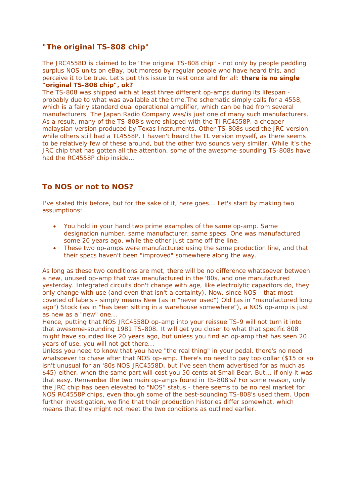### **"The original TS-808 chip"**

The JRC4558D is claimed to be "the original TS-808 chip" - not only by people peddling surplus NOS units on eBay, but moreso by regular people who have heard this, and perceive it to be true. Let's put this issue to rest once and for all: **there is no single "original TS-808 chip", ok?**

The TS-808 was shipped with at least three different op-amps during its lifespan probably due to what was available at the time.The schematic simply calls for a 4558, which is a fairly standard dual operational amplifier, which can be had from several manufacturers. The Japan Radio Company was/is just one of many such manufacturers. As a result, many of the TS-808's were shipped with the TI RC4558P, a cheaper malaysian version produced by Texas Instruments. Other TS-808s used the JRC version, while others still had a TL4558P. I haven't heard the TL version myself, as there seems to be relatively few of these around, but the other two sounds very similar. While it's the JRC chip that has gotten all the attention, some of the awesome-sounding TS-808s have had the RC4558P chip inside...

## **To NOS or not to NOS?**

I've stated this before, but for the sake of it, here goes... Let's start by making two assumptions:

- You hold in your hand two prime examples of the same op-amp. Same designation number, same manufacturer, same specs. One was manufactured some 20 years ago, while the other just came off the line.
- These two op-amps were manufactured using the same production line, and that their specs haven't been "improved" somewhere along the way.

As long as these two conditions are met, there will be no difference whatsoever between a new, unused op-amp that was manufactured in the '80s, and one manufactured yesterday. Integrated circuits don't change with age, like electrolytic capacitors do, they only change with use (and even that isn't a certainty). Now, since NOS - that most coveted of labels - simply means New (as in "never used") Old (as in "manufactured long ago") Stock (as in "has been sitting in a warehouse somewhere"), a NOS op-amp is just as new as a "new" one...

Hence, putting that NOS JRC4558D op-amp into your reissue TS-9 will not turn it into that awesome-sounding 1981 TS-808. It will get you closer to what that specific 808 might have sounded like 20 years ago, but unless you find an op-amp that has seen 20 years of use, you will not get there...

Unless you need to know that you have "the real thing" in your pedal, there's no need whatsoever to chase after that NOS op-amp. There's no need to pay top dollar (\$15 or so isn't unusual for an '80s NOS JRC4558D, but I've seen them advertised for as much as \$45) either, when the same part will cost you 50 cents at Small Bear. But... if only it was that easy. Remember the two main op-amps found in TS-808's? For some reason, only the JRC chip has been elevated to "NOS" status - there seems to be no real market for NOS RC4558P chips, even though some of the best-sounding TS-808's used them. Upon further investigation, we find that their production histories differ somewhat, which means that they might not meet the two conditions as outlined earlier.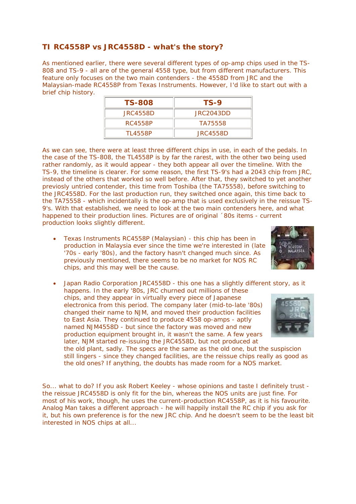### **TI RC4558P vs JRC4558D - what's the story?**

As mentioned earlier, there were several different types of op-amp chips used in the TS-808 and TS-9 - all are of the general 4558 type, but from different manufacturers. This feature only focuses on the two main contenders - the 4558D from JRC and the Malaysian-made RC4558P from Texas Instruments. However, I'd like to start out with a brief chip history.

| <b>TS-808</b> | TS-9      |
|---------------|-----------|
| JRC4558D      | JRC2043DD |
| RC4558P       | TA75558   |
| TI 4558P      | JRC4558D  |

As we can see, there were at least three different chips in use, in each of the pedals. In the case of the TS-808, the TL4558P is by far the rarest, with the other two being used rather randomly, as it would appear - they both appear all over the timeline. With the TS-9, the timeline is clearer. For some reason, the first TS-9's had a 2043 chip from JRC, instead of the others that worked so well before. After that, they switched to yet another previosly untried contender, this time from Toshiba (the TA75558), before switching to the JRC4558D. For the last production run, they switched once again, this time back to the TA75558 - which incidentally is the op-amp that is used exclusively in the reissue TS-9's. With that established, we need to look at the two main contenders here, and what happened to their production lines. Pictures are of original ´80s items - current production looks slightly different.

• Texas Instruments RC4558P (Malaysian) - this chip has been in production in Malaysia ever since the time we're interested in (late '70s - early '80s), and the factory hasn't changed much since. As previously mentioned, there seems to be no market for NOS RC chips, and this may well be the cause.



• Japan Radio Corporation JRC4558D - this one has a slightly different story, as it happens. In the early '80s, JRC churned out millions of these chips, and they appear in virtually every piece of Japanese electronica from this period. The company later (mid-to-late '80s) changed their name to NJM, and moved their production facilities to East Asia. They continued to produce 4558 op-amps - aptly named NJM4558D - but since the factory was moved and new production equipment brought in, it wasn't the same. A few years later, NJM started re-issuing the JRC4558D, but not produced at the old plant, sadly. The specs are the same as the old one, but the suspiscion

still lingers - since they changed facilities, are the reissue chips really as good as the old ones? If anything, the doubts has made room for a NOS market.

So... what to do? If you ask Robert Keeley - whose opinions and taste I definitely trust the reissue JRC4558D is only fit for the bin, whereas the NOS units are just fine. For most of his work, though, he uses the current-production RC4558P, as it is his favourite. Analog Man takes a different approach - he will happily install the RC chip if you ask for it, but his own preference is for the new JRC chip. And he doesn't seem to be the least bit interested in NOS chips at all...

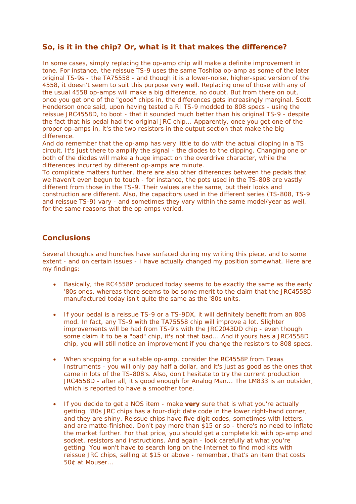### **So, is it in the chip? Or, what is it that makes the difference?**

In some cases, simply replacing the op-amp chip will make a definite improvement in tone. For instance, the reissue TS-9 uses the same Toshiba op-amp as some of the later original TS-9s - the TA75558 - and though it is a lower-noise, higher-spec version of the 4558, it doesn't seem to suit this purpose very well. Replacing one of those with any of the usual 4558 op-amps will make a big difference, no doubt. But from there on out, once you get one of the "good" chips in, the differences gets increasingly marginal. Scott Henderson once said, upon having tested a RI TS-9 modded to 808 specs - using the reissue JRC4558D, to boot - that it sounded much better than his original TS-9 - despite the fact that his pedal had the original JRC chip... Apparently, once you get one of the proper op-amps in, it's the two resistors in the output section that make the big difference.

And do remember that the op-amp has very little to do with the actual clipping in a TS circuit. It's just there to amplify the signal - the diodes to the clipping. Changing one or both of the diodes will make a huge impact on the overdrive character, while the differences incurred by different op-amps are minute.

To complicate matters further, there are also other differences between the pedals that we haven't even begun to touch - for instance, the pots used in the TS-808 are vastly different from those in the TS-9. Their values are the same, but their looks and construction are different. Also, the capacitors used in the different series (TS-808, TS-9 and reissue TS-9) vary - and sometimes they vary within the same model/year as well, for the same reasons that the op-amps varied.

#### **Conclusions**

Several thoughts and hunches have surfaced during my writing this piece, and to some extent - and on certain issues - I have actually changed my position somewhat. Here are my findings:

- Basically, the RC4558P produced today seems to be exactly the same as the early '80s ones, whereas there seems to be some merit to the claim that the JRC4558D manufactured today isn't quite the same as the '80s units.
- If your pedal is a reissue TS-9 or a TS-9DX, it will definitely benefit from an 808 mod. In fact, any TS-9 with the TA75558 chip will improve a lot. Slighter improvements will be had from TS-9's with the JRC2043DD chip - even though some claim it to be a "bad" chip, it's not that bad... And if yours has a JRC4558D chip, you will still notice an improvement if you change the resistors to 808 specs.
- When shopping for a suitable op-amp, consider the RC4558P from Texas Instruments - you will only pay half a dollar, and it's just as good as the ones that came in lots of the TS-808's. Also, don't hesitate to try the current production JRC4558D - after all, it's good enough for Analog Man... The LM833 is an outsider, which is reported to have a smoother tone.
- If you decide to get a NOS item make **very** sure that is what you're actually getting. '80s JRC chips has a four-digit date code in the lower right-hand corner, and they are shiny. Reissue chips have five digit codes, sometimes with letters, and are matte-finished. Don't pay more than \$15 or so - there's no need to inflate the market further. For that price, you should get a complete kit with op-amp and socket, resistors and instructions. And again - look carefully at what you're getting. You won't have to search long on the Internet to find mod kits with reissue JRC chips, selling at \$15 or above - remember, that's an item that costs 50¢ at Mouser...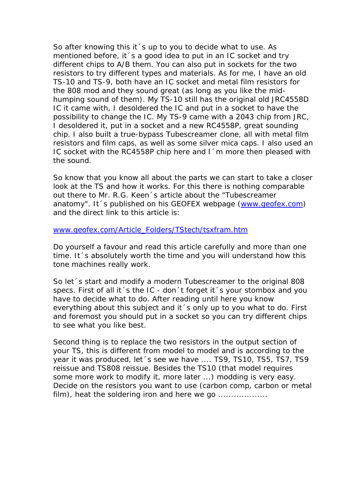So after knowing this it 's up to you to decide what to use. As mentioned before, it 's a good idea to put in an IC socket and try different chips to A/B them. You can also put in sockets for the two resistors to try different types and materials. As for me, I have an old TS-10 and TS-9, both have an IC socket and metal film resistors for the 808 mod and they sound great (as long as you like the midhumping sound of them). My TS-10 still has the original old JRC4558D IC it came with, I desoldered the IC and put in a socket to have the possibility to change the IC. My TS-9 came with a 2043 chip from JRC, I desoldered it, put in a socket and a new RC4558P, great sounding chip. I also built a true-bypass Tubescreamer clone, all with metal film resistors and film caps, as well as some silver mica caps. I also used an IC socket with the RC4558P chip here and I´m more then pleased with the sound.

So know that you know all about the parts we can start to take a closer look at the TS and how it works. For this there is nothing comparable out there to Mr. R.G. Keen´s article about the "Tubescreamer anatomy". It´s published on his GEOFEX webpage (www.geofex.com) and the direct link to this article is:

#### www.geofex.com/Article\_Folders/TStech/tsxfram.htm

Do yourself a favour and read this article carefully and more than one time. It´s absolutely worth the time and you will understand how this tone machines really work.

So let´s start and modify a modern Tubescreamer to the original 808 specs. First of all it 's the IC - don 't forget it 's your stombox and you have to decide what to do. After reading until here you know everything about this subject and it´s only up to you what to do. First and foremost you should put in a socket so you can try different chips to see what you like best.

Second thing is to replace the two resistors in the output section of your TS, this is different from model to model and is according to the year it was produced, let 's see we have .... TS9, TS10, TS5, TS7, TS9 reissue and TS808 reissue. Besides the TS10 (that model requires some more work to modify it, more later ...) modding is very easy. Decide on the resistors you want to use (carbon comp, carbon or metal film), heat the soldering iron and here we go ...................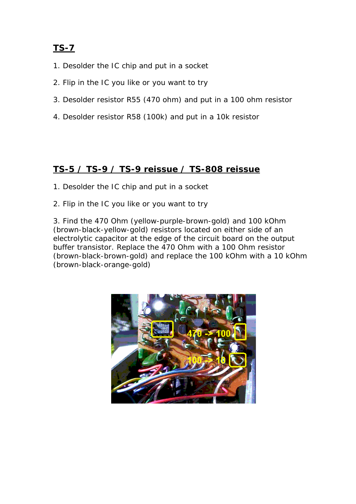# **TS-7**

- 1. Desolder the IC chip and put in a socket
- 2. Flip in the IC you like or you want to try
- 3. Desolder resistor R55 (470 ohm) and put in a 100 ohm resistor
- 4. Desolder resistor R58 (100k) and put in a 10k resistor

# **TS-5 / TS-9 / TS-9 reissue / TS-808 reissue**

- 1. Desolder the IC chip and put in a socket
- 2. Flip in the IC you like or you want to try

3. Find the 470 Ohm (yellow-purple-brown-gold) and 100 kOhm (brown-black-yellow-gold) resistors located on either side of an electrolytic capacitor at the edge of the circuit board on the output buffer transistor. Replace the 470 Ohm with a 100 Ohm resistor (brown-black-brown-gold) and replace the 100 kOhm with a 10 kOhm (brown-black-orange-gold)

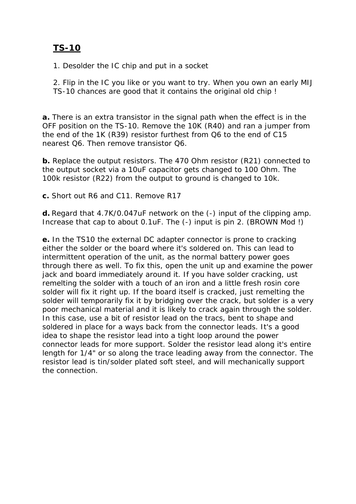# **TS-10**

1. Desolder the IC chip and put in a socket

2. Flip in the IC you like or you want to try. When you own an early MIJ TS-10 chances are good that it contains the original old chip !

**a.** There is an extra transistor in the signal path when the effect is in the OFF position on the TS-10. Remove the 10K (R40) and ran a jumper from the end of the 1K (R39) resistor furthest from Q6 to the end of C15 nearest Q6. Then remove transistor Q6.

**b.** Replace the output resistors. The 470 Ohm resistor (R21) connected to the output socket via a 10uF capacitor gets changed to 100 Ohm. The 100k resistor (R22) from the output to ground is changed to 10k.

**c.** Short out R6 and C11. Remove R17

**d.** Regard that 4.7K/0.047uF network on the (-) input of the clipping amp. Increase that cap to about 0.1uF. The (-) input is pin 2. (BROWN Mod !)

**e.** In the TS10 the external DC adapter connector is prone to cracking either the solder or the board where it's soldered on. This can lead to intermittent operation of the unit, as the normal battery power goes through there as well. To fix this, open the unit up and examine the power jack and board immediately around it. If you have solder cracking, ust remelting the solder with a touch of an iron and a little fresh rosin core solder will fix it right up. If the board itself is cracked, just remelting the solder will temporarily fix it by bridging over the crack, but solder is a very poor mechanical material and it is likely to crack again through the solder. In this case, use a bit of resistor lead on the tracs, bent to shape and soldered in place for a ways back from the connector leads. It's a good idea to shape the resistor lead into a tight loop around the power connector leads for more support. Solder the resistor lead along it's entire length for 1/4" or so along the trace leading away from the connector. The resistor lead is tin/solder plated soft steel, and will mechanically support the connection.